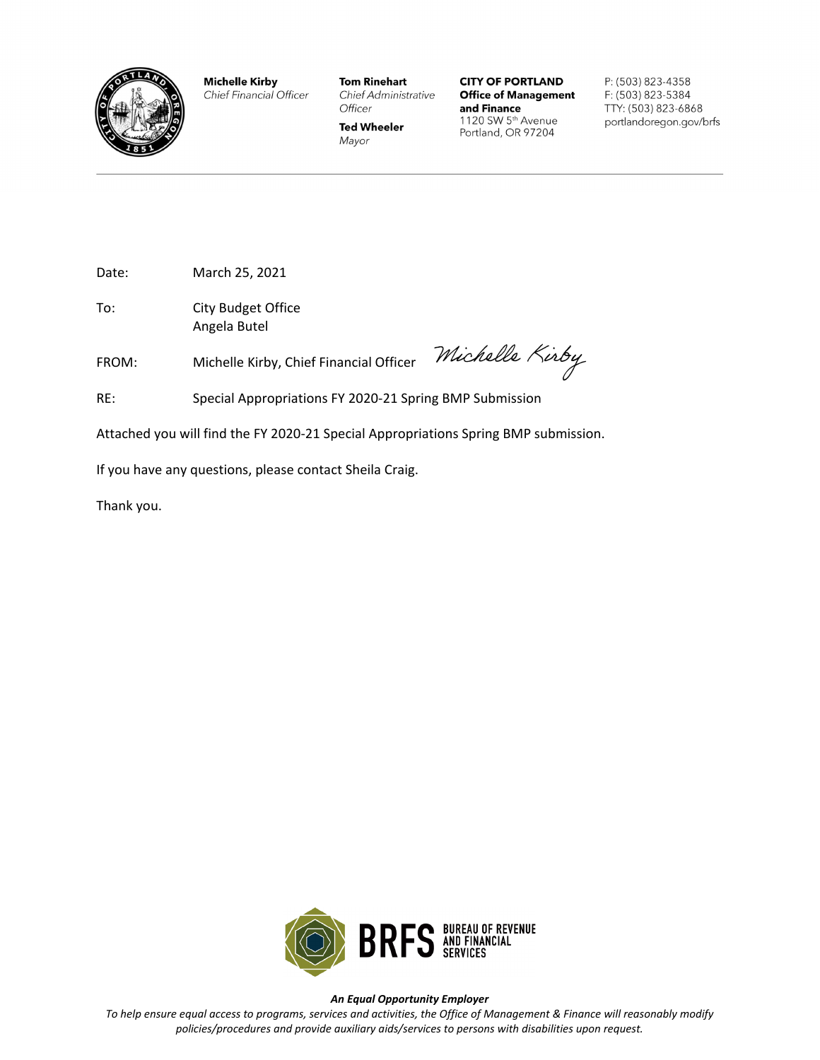

**Michelle Kirby** Chief Financial Officer **Tom Rinehart** Chief Administrative Officer

**Ted Wheeler** 

Mayor

**CITY OF PORTLAND Office of Management** and Finance 1120 SW 5th Avenue Portland, OR 97204

P: (503) 823-4358 F: (503) 823-5384 TTY: (503) 823-6868 portlandoregon.gov/brfs

Date: March 25, 2021

To: City Budget Office Angela Butel

FROM: Michelle Kirby, Chief Financial Officer

Michelle Kirby

RE: Special Appropriations FY 2020-21 Spring BMP Submission

Attached you will find the FY 2020-21 Special Appropriations Spring BMP submission.

If you have any questions, please contact Sheila Craig.

Thank you.



#### *An Equal Opportunity Employer*

*To help ensure equal access to programs, services and activities, the Office of Management & Finance will reasonably modify policies/procedures and provide auxiliary aids/services to persons with disabilities upon request.*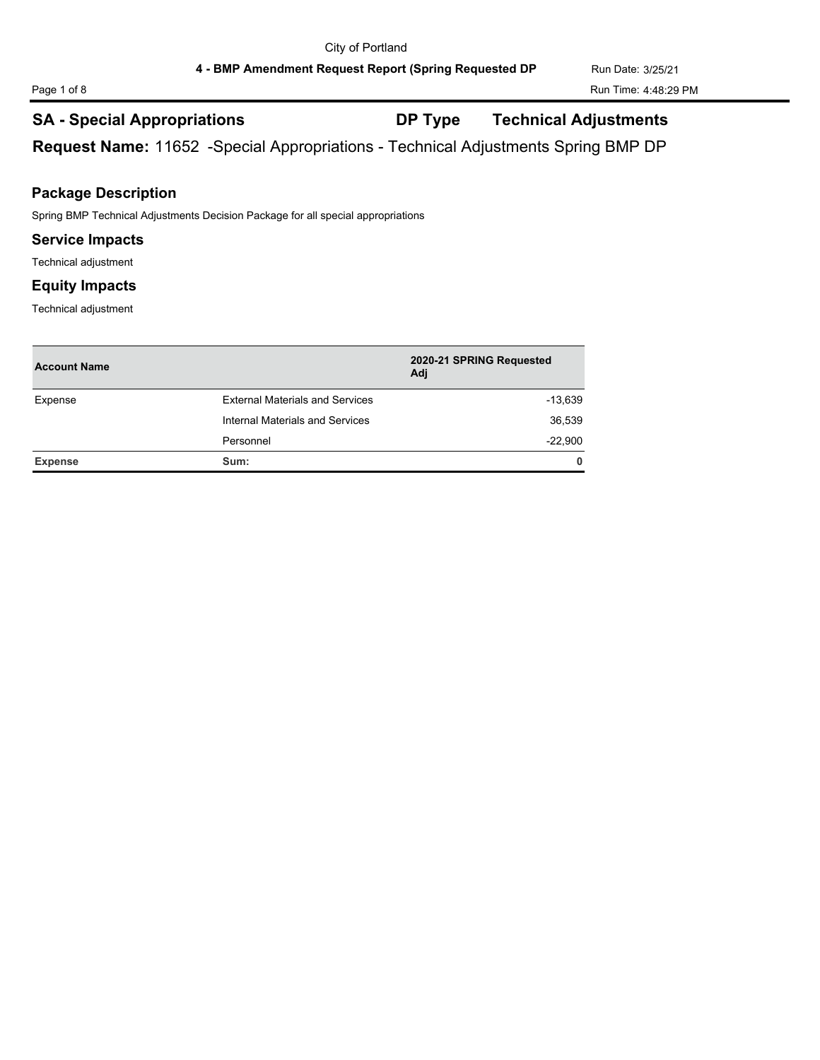## **SA - Special Appropriations DP Type Technical Adjustments**

**Request Name:** 11652 -Special Appropriations - Technical Adjustments Spring BMP DP

## **Package Description**

Spring BMP Technical Adjustments Decision Package for all special appropriations

### **Service Impacts**

Technical adjustment

## **Equity Impacts**

Technical adjustment

| <b>Account Name</b> |                                        | 2020-21 SPRING Requested<br>Adj |
|---------------------|----------------------------------------|---------------------------------|
| Expense             | <b>External Materials and Services</b> | $-13,639$                       |
|                     | Internal Materials and Services        | 36,539                          |
|                     | Personnel                              | $-22,900$                       |
| <b>Expense</b>      | Sum:                                   | $\mathbf{0}$                    |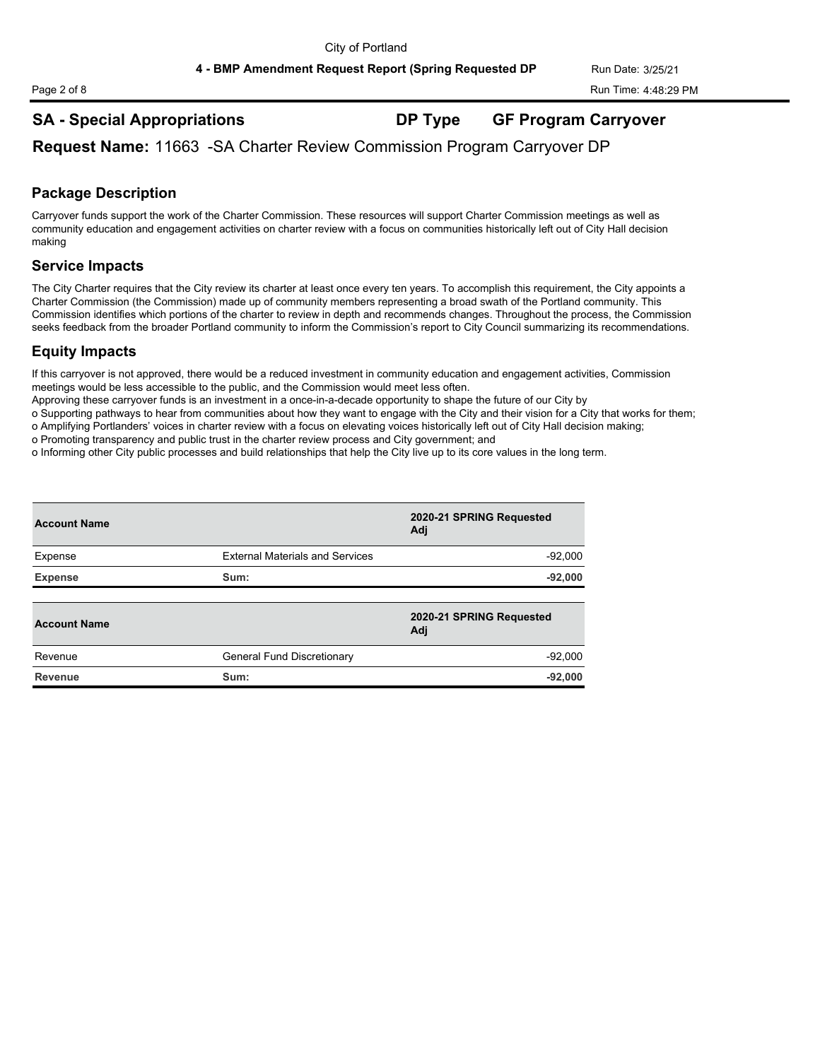# **SA - Special Appropriations DP Type GF Program Carryover**

**Request Name:** 11663 -SA Charter Review Commission Program Carryover DP

## **Package Description**

Carryover funds support the work of the Charter Commission. These resources will support Charter Commission meetings as well as community education and engagement activities on charter review with a focus on communities historically left out of City Hall decision making

## **Service Impacts**

The City Charter requires that the City review its charter at least once every ten years. To accomplish this requirement, the City appoints a Charter Commission (the Commission) made up of community members representing a broad swath of the Portland community. This Commission identifies which portions of the charter to review in depth and recommends changes. Throughout the process, the Commission seeks feedback from the broader Portland community to inform the Commission's report to City Council summarizing its recommendations.

## **Equity Impacts**

If this carryover is not approved, there would be a reduced investment in community education and engagement activities, Commission meetings would be less accessible to the public, and the Commission would meet less often.

Approving these carryover funds is an investment in a once-in-a-decade opportunity to shape the future of our City by

o Supporting pathways to hear from communities about how they want to engage with the City and their vision for a City that works for them;

o Amplifying Portlanders' voices in charter review with a focus on elevating voices historically left out of City Hall decision making;

o Promoting transparency and public trust in the charter review process and City government; and

o Informing other City public processes and build relationships that help the City live up to its core values in the long term.

| <b>Account Name</b> |                                        | 2020-21 SPRING Requested<br>Adj |
|---------------------|----------------------------------------|---------------------------------|
| Expense             | <b>External Materials and Services</b> | $-92,000$                       |
| <b>Expense</b>      | Sum:                                   | $-92,000$                       |
|                     |                                        |                                 |
| <b>Account Name</b> |                                        | 2020-21 SPRING Requested<br>Adj |
| Revenue             | General Fund Discretionary             | $-92,000$                       |
| <b>Revenue</b>      | Sum:                                   | $-92.000$                       |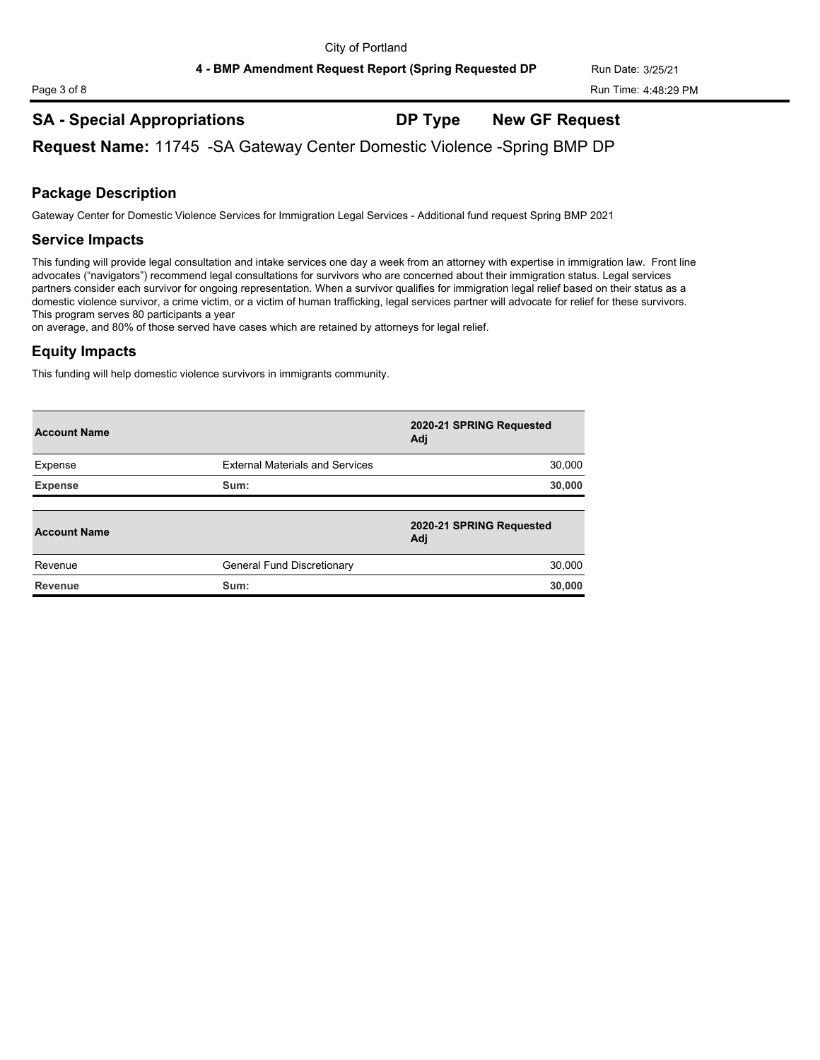4 - BMP Amendment Request Report (Spring Requested DP Run Date: 3/25/21

## **SA - Special Appropriations DP Type New GF Request**

**Request Name:** 11745 -SA Gateway Center Domestic Violence -Spring BMP DP

## **Package Description**

Gateway Center for Domestic Violence Services for Immigration Legal Services - Additional fund request Spring BMP 2021

## **Service Impacts**

This funding will provide legal consultation and intake services one day a week from an attorney with expertise in immigration law. Front line advocates ("navigators") recommend legal consultations for survivors who are concerned about their immigration status. Legal services partners consider each survivor for ongoing representation. When a survivor qualifies for immigration legal relief based on their status as a domestic violence survivor, a crime victim, or a victim of human trafficking, legal services partner will advocate for relief for these survivors. This program serves 80 participants a year

on average, and 80% of those served have cases which are retained by attorneys for legal relief.

## **Equity Impacts**

This funding will help domestic violence survivors in immigrants community.

| <b>Account Name</b> |                                        | 2020-21 SPRING Requested<br>Adi |
|---------------------|----------------------------------------|---------------------------------|
| Expense             | <b>External Materials and Services</b> | 30,000                          |
| <b>Expense</b>      | Sum:                                   | 30,000                          |
|                     |                                        |                                 |
| <b>Account Name</b> |                                        | 2020-21 SPRING Requested<br>Adj |
| Revenue             | General Fund Discretionary             | 30,000                          |
| Revenue             | Sum:                                   | 30,000                          |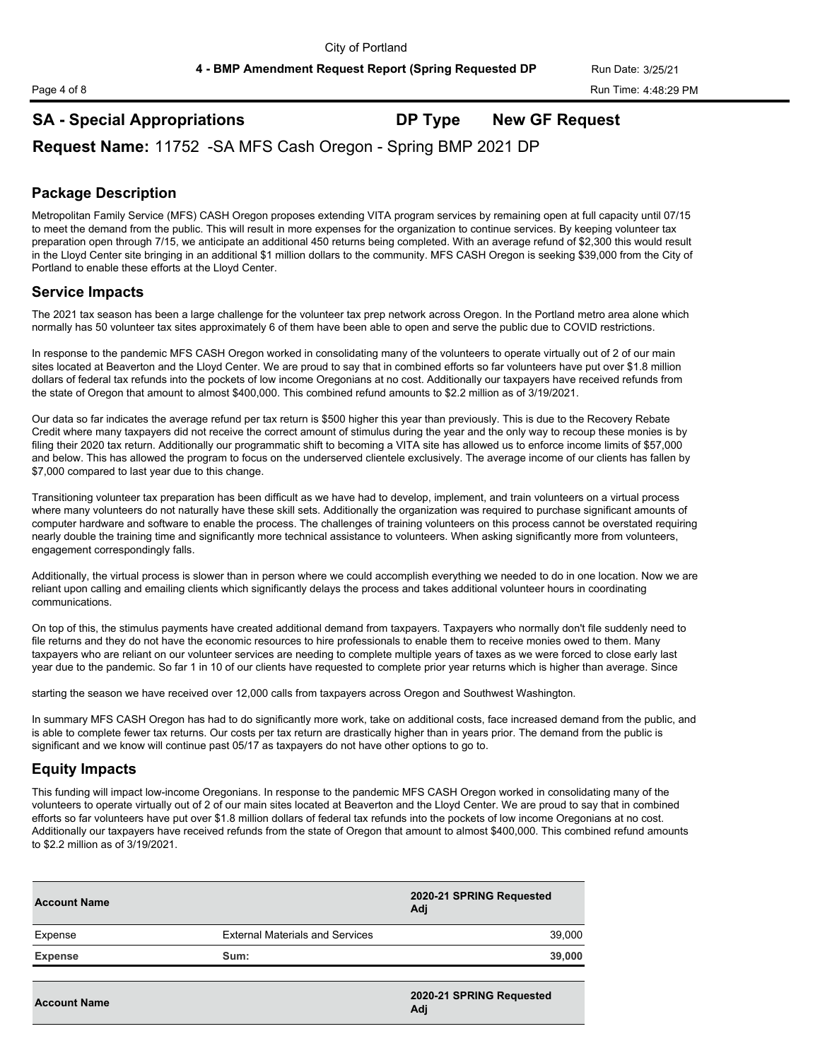## **SA - Special Appropriations DP Type New GF Request**

**Request Name:** 11752 -SA MFS Cash Oregon - Spring BMP 2021 DP

## **Package Description**

Metropolitan Family Service (MFS) CASH Oregon proposes extending VITA program services by remaining open at full capacity until 07/15 to meet the demand from the public. This will result in more expenses for the organization to continue services. By keeping volunteer tax preparation open through 7/15, we anticipate an additional 450 returns being completed. With an average refund of \$2,300 this would result in the Lloyd Center site bringing in an additional \$1 million dollars to the community. MFS CASH Oregon is seeking \$39,000 from the City of Portland to enable these efforts at the Lloyd Center.

## **Service Impacts**

The 2021 tax season has been a large challenge for the volunteer tax prep network across Oregon. In the Portland metro area alone which normally has 50 volunteer tax sites approximately 6 of them have been able to open and serve the public due to COVID restrictions.

In response to the pandemic MFS CASH Oregon worked in consolidating many of the volunteers to operate virtually out of 2 of our main sites located at Beaverton and the Lloyd Center. We are proud to say that in combined efforts so far volunteers have put over \$1.8 million dollars of federal tax refunds into the pockets of low income Oregonians at no cost. Additionally our taxpayers have received refunds from the state of Oregon that amount to almost \$400,000. This combined refund amounts to \$2.2 million as of 3/19/2021.

Our data so far indicates the average refund per tax return is \$500 higher this year than previously. This is due to the Recovery Rebate Credit where many taxpayers did not receive the correct amount of stimulus during the year and the only way to recoup these monies is by filing their 2020 tax return. Additionally our programmatic shift to becoming a VITA site has allowed us to enforce income limits of \$57,000 and below. This has allowed the program to focus on the underserved clientele exclusively. The average income of our clients has fallen by \$7,000 compared to last year due to this change.

Transitioning volunteer tax preparation has been difficult as we have had to develop, implement, and train volunteers on a virtual process where many volunteers do not naturally have these skill sets. Additionally the organization was required to purchase significant amounts of computer hardware and software to enable the process. The challenges of training volunteers on this process cannot be overstated requiring nearly double the training time and significantly more technical assistance to volunteers. When asking significantly more from volunteers, engagement correspondingly falls.

Additionally, the virtual process is slower than in person where we could accomplish everything we needed to do in one location. Now we are reliant upon calling and emailing clients which significantly delays the process and takes additional volunteer hours in coordinating communications.

On top of this, the stimulus payments have created additional demand from taxpayers. Taxpayers who normally don't file suddenly need to file returns and they do not have the economic resources to hire professionals to enable them to receive monies owed to them. Many taxpayers who are reliant on our volunteer services are needing to complete multiple years of taxes as we were forced to close early last year due to the pandemic. So far 1 in 10 of our clients have requested to complete prior year returns which is higher than average. Since

starting the season we have received over 12,000 calls from taxpayers across Oregon and Southwest Washington.

In summary MFS CASH Oregon has had to do significantly more work, take on additional costs, face increased demand from the public, and is able to complete fewer tax returns. Our costs per tax return are drastically higher than in years prior. The demand from the public is significant and we know will continue past 05/17 as taxpayers do not have other options to go to.

## **Equity Impacts**

This funding will impact low-income Oregonians. In response to the pandemic MFS CASH Oregon worked in consolidating many of the volunteers to operate virtually out of 2 of our main sites located at Beaverton and the Lloyd Center. We are proud to say that in combined efforts so far volunteers have put over \$1.8 million dollars of federal tax refunds into the pockets of low income Oregonians at no cost. Additionally our taxpayers have received refunds from the state of Oregon that amount to almost \$400,000. This combined refund amounts to \$2.2 million as of 3/19/2021.

| <b>Account Name</b> |                                        | 2020-21 SPRING Requested<br>Adi |  |
|---------------------|----------------------------------------|---------------------------------|--|
| Expense             | <b>External Materials and Services</b> | 39,000                          |  |
| <b>Expense</b>      | Sum:                                   | 39,000                          |  |
| <b>Account Name</b> |                                        | 2020-21 SPRING Requested<br>Adj |  |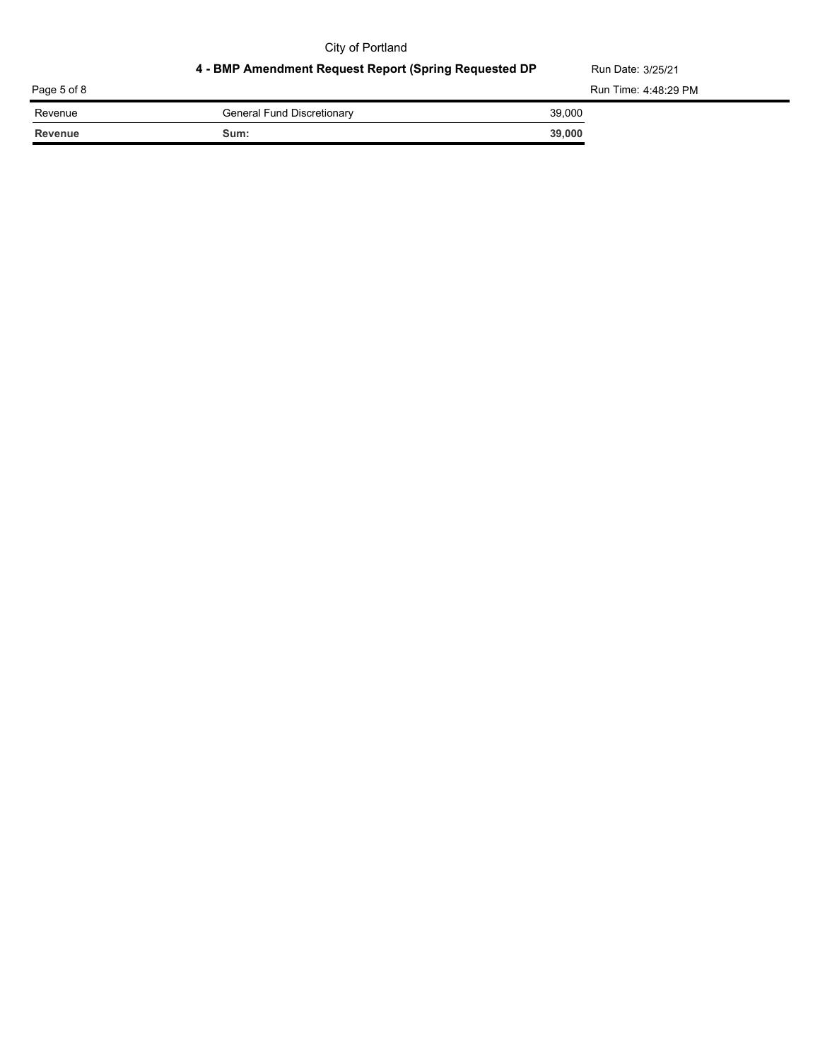## City of Portland

## 4 - BMP Amendment Request Report (Spring Requested DP Run Date: 3/25/21

| Page 5 of 8 |                            | Run Time: 4:48:29 PM |
|-------------|----------------------------|----------------------|
| Revenue     | General Fund Discretionary | 39,000               |
| Revenue     | Sum:                       | 39,000               |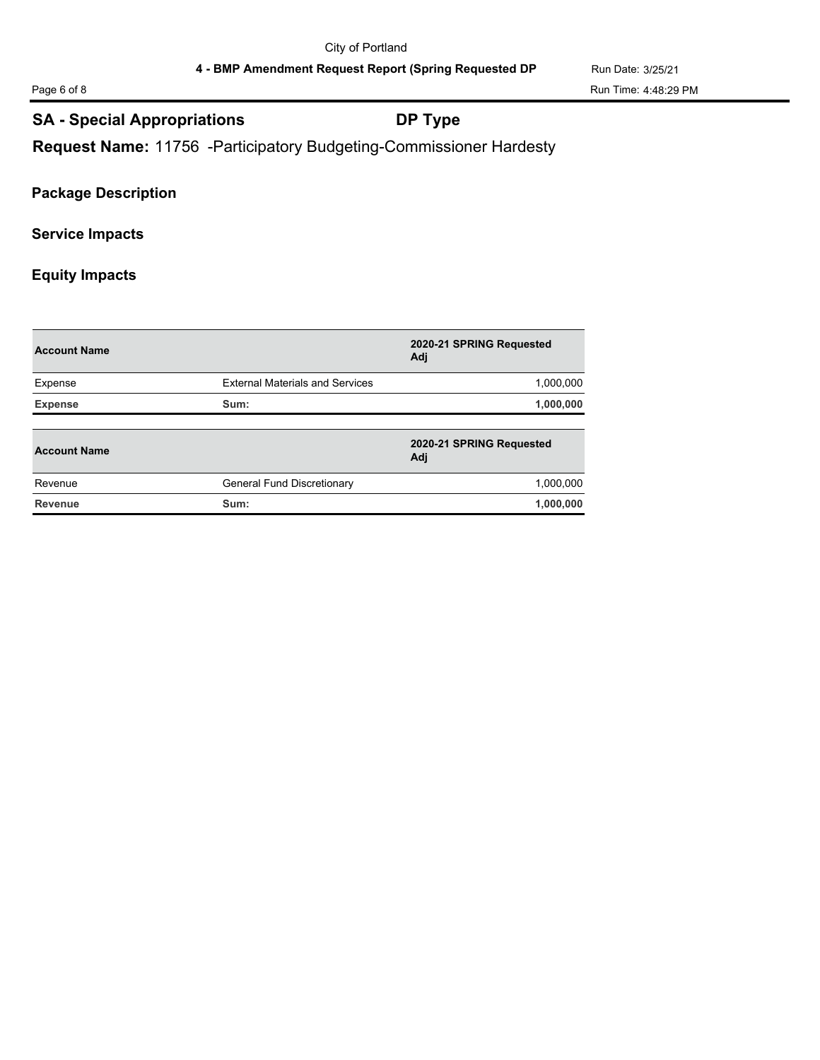Page 6 of 8 Run Time: 4:48:29 PM

## **SA - Special Appropriations DP Type**

**Request Name:** 11756 -Participatory Budgeting-Commissioner Hardesty

## **Package Description**

## **Service Impacts**

## **Equity Impacts**

| <b>Account Name</b> |                                        | 2020-21 SPRING Requested<br>Adj |
|---------------------|----------------------------------------|---------------------------------|
| Expense             | <b>External Materials and Services</b> | 1,000,000                       |
| <b>Expense</b>      | Sum:                                   | 1,000,000                       |
|                     |                                        |                                 |
| <b>Account Name</b> |                                        | 2020-21 SPRING Requested<br>Adj |
| Revenue             | General Fund Discretionary             | 1,000,000                       |
|                     |                                        |                                 |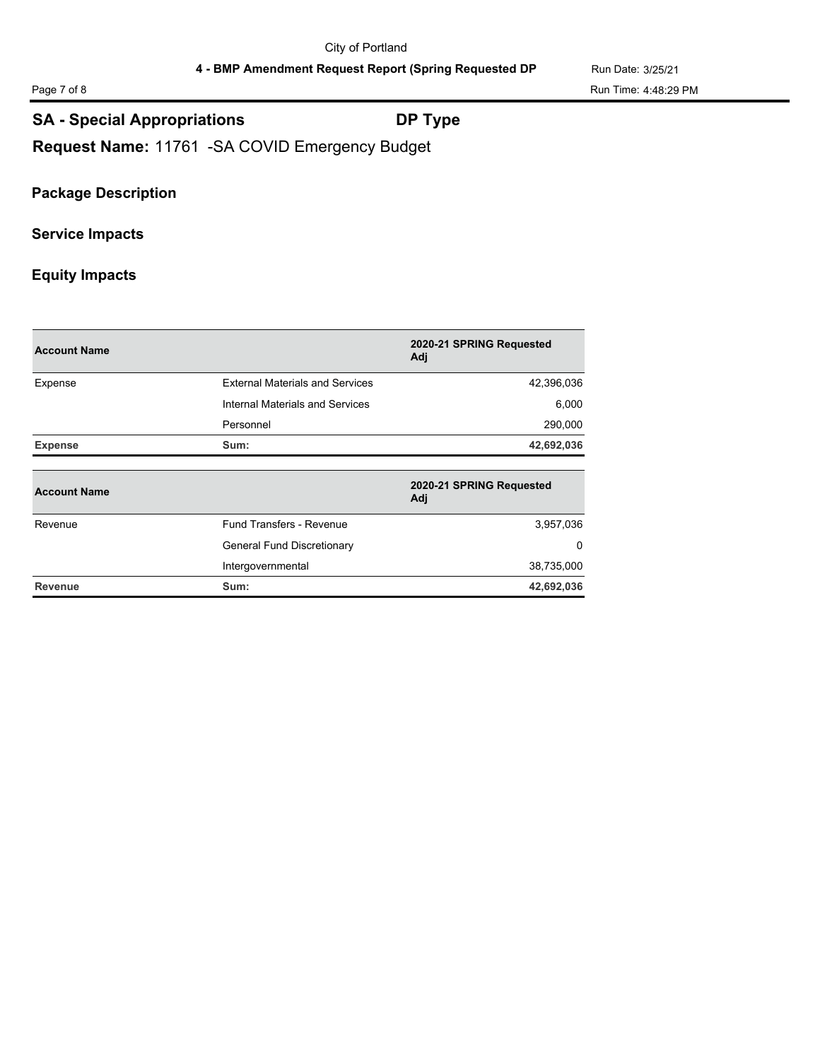Page 7 of 8 Run Time: 4:48:29 PM

## **SA - Special Appropriations DP Type**

**Request Name:** 11761 -SA COVID Emergency Budget

## **Package Description**

## **Service Impacts**

## **Equity Impacts**

| <b>Account Name</b> |                                        | 2020-21 SPRING Requested<br>Adj |
|---------------------|----------------------------------------|---------------------------------|
| Expense             | <b>External Materials and Services</b> | 42,396,036                      |
|                     | Internal Materials and Services        | 6,000                           |
|                     | Personnel                              | 290,000                         |
| <b>Expense</b>      | Sum:                                   | 42,692,036                      |
| <b>Account Name</b> |                                        | 2020-21 SPRING Requested<br>Adj |
| Revenue             | Fund Transfers - Revenue               | 3,957,036                       |
|                     | General Fund Discretionary             | 0                               |
|                     | Intergovernmental                      | 38,735,000                      |
| Revenue             | Sum:                                   | 42,692,036                      |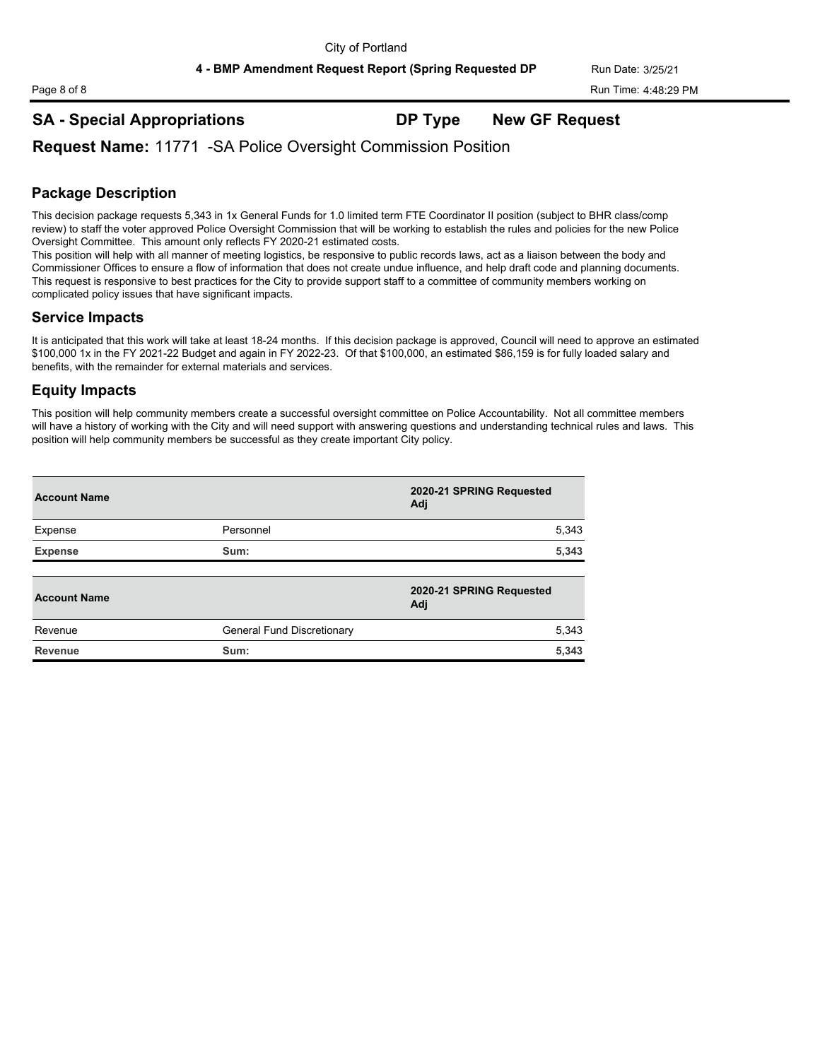**SA - Special Appropriations DP Type New GF Request**

**Request Name:** 11771 -SA Police Oversight Commission Position

## **Package Description**

This decision package requests 5,343 in 1x General Funds for 1.0 limited term FTE Coordinator II position (subject to BHR class/comp review) to staff the voter approved Police Oversight Commission that will be working to establish the rules and policies for the new Police Oversight Committee. This amount only reflects FY 2020-21 estimated costs.

This position will help with all manner of meeting logistics, be responsive to public records laws, act as a liaison between the body and Commissioner Offices to ensure a flow of information that does not create undue influence, and help draft code and planning documents. This request is responsive to best practices for the City to provide support staff to a committee of community members working on complicated policy issues that have significant impacts.

## **Service Impacts**

It is anticipated that this work will take at least 18-24 months. If this decision package is approved, Council will need to approve an estimated \$100,000 1x in the FY 2021-22 Budget and again in FY 2022-23. Of that \$100,000, an estimated \$86,159 is for fully loaded salary and benefits, with the remainder for external materials and services.

## **Equity Impacts**

This position will help community members create a successful oversight committee on Police Accountability. Not all committee members will have a history of working with the City and will need support with answering questions and understanding technical rules and laws. This position will help community members be successful as they create important City policy.

| <b>Account Name</b> |                            | 2020-21 SPRING Requested<br>Adj |
|---------------------|----------------------------|---------------------------------|
| Expense             | Personnel                  | 5,343                           |
| <b>Expense</b>      | Sum:                       | 5,343                           |
| <b>Account Name</b> |                            | 2020-21 SPRING Requested<br>Adj |
| Revenue             | General Fund Discretionary | 5,343                           |
| <b>Revenue</b>      | Sum:                       | 5,343                           |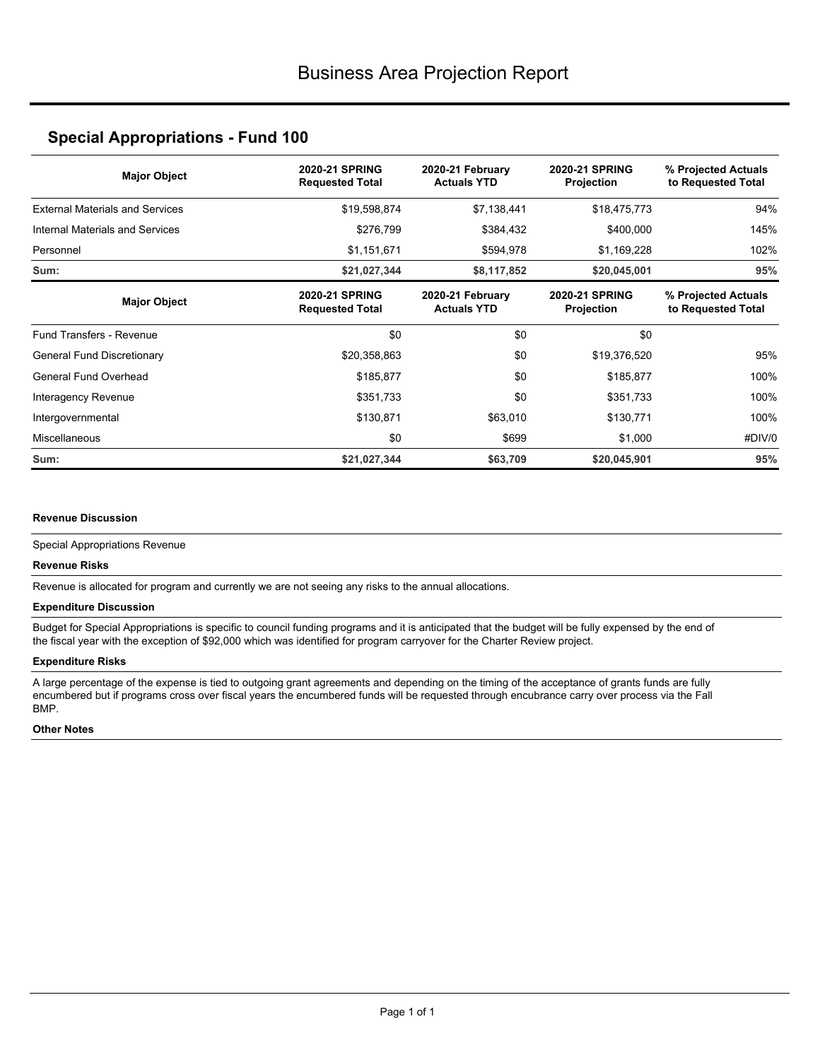## **Special Appropriations - Fund 100**

| <b>Major Object</b>                    | <b>2020-21 SPRING</b><br><b>Requested Total</b> | 2020-21 February<br><b>Actuals YTD</b> | <b>2020-21 SPRING</b><br>Projection | % Projected Actuals<br>to Requested Total |
|----------------------------------------|-------------------------------------------------|----------------------------------------|-------------------------------------|-------------------------------------------|
| <b>External Materials and Services</b> | \$19,598,874                                    | \$7,138,441                            | \$18,475,773                        | 94%                                       |
| Internal Materials and Services        | \$276,799                                       | \$384,432                              | \$400,000                           | 145%                                      |
| Personnel                              | \$1,151,671                                     | \$594,978                              | \$1,169,228                         | 102%                                      |
| Sum:                                   | \$21,027,344                                    | \$8,117,852                            | \$20,045,001                        | 95%                                       |
| <b>Major Object</b>                    | <b>2020-21 SPRING</b><br><b>Requested Total</b> | 2020-21 February<br><b>Actuals YTD</b> | <b>2020-21 SPRING</b><br>Projection | % Projected Actuals<br>to Requested Total |
| <b>Fund Transfers - Revenue</b>        | \$0                                             | \$0                                    | \$0                                 |                                           |
| General Fund Discretionary             | \$20,358,863                                    | \$0                                    | \$19,376,520                        | 95%                                       |
| General Fund Overhead                  | \$185,877                                       | \$0                                    | \$185,877                           | 100%                                      |
| Interagency Revenue                    | \$351,733                                       | \$0                                    | \$351,733                           | 100%                                      |
| Intergovernmental                      | \$130,871                                       | \$63,010                               | \$130,771                           | 100%                                      |
| Miscellaneous                          | \$0                                             | \$699                                  | \$1,000                             | #DIV/0                                    |
| Sum:                                   | \$21,027,344                                    | \$63,709                               | \$20,045,901                        | 95%                                       |

#### **Revenue Discussion**

Special Appropriations Revenue

#### **Revenue Risks**

Revenue is allocated for program and currently we are not seeing any risks to the annual allocations.

#### **Expenditure Discussion**

Budget for Special Appropriations is specific to council funding programs and it is anticipated that the budget will be fully expensed by the end of the fiscal year with the exception of \$92,000 which was identified for program carryover for the Charter Review project.

#### **Expenditure Risks**

A large percentage of the expense is tied to outgoing grant agreements and depending on the timing of the acceptance of grants funds are fully encumbered but if programs cross over fiscal years the encumbered funds will be requested through encubrance carry over process via the Fall BMP.

#### **Other Notes**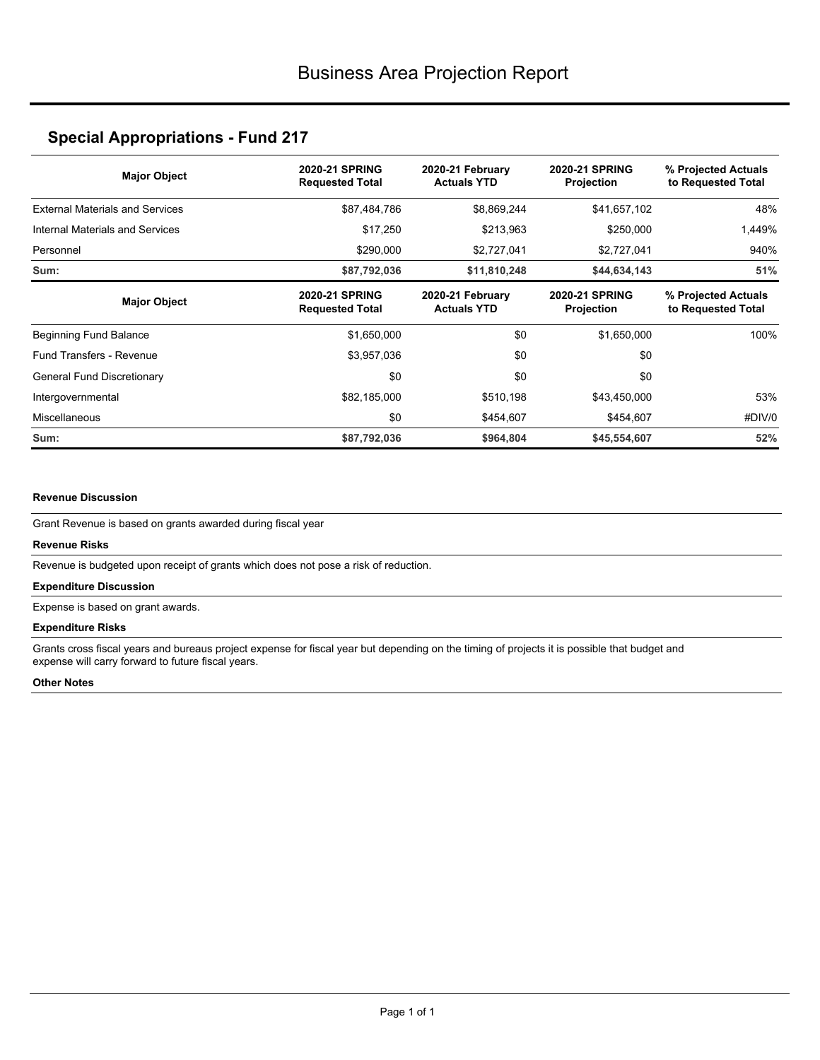# **Special Appropriations - Fund 217**

| <b>Major Object</b>                    | <b>2020-21 SPRING</b><br><b>Requested Total</b> | 2020-21 February<br><b>Actuals YTD</b> | <b>2020-21 SPRING</b><br><b>Projection</b> | % Projected Actuals<br>to Requested Total |
|----------------------------------------|-------------------------------------------------|----------------------------------------|--------------------------------------------|-------------------------------------------|
| <b>External Materials and Services</b> | \$87,484,786                                    | \$8,869,244                            | \$41,657,102                               | 48%                                       |
| Internal Materials and Services        | \$17,250                                        | \$213,963                              | \$250,000                                  | 1,449%                                    |
| Personnel                              | \$290,000                                       | \$2,727,041                            | \$2,727,041                                | 940%                                      |
| Sum:                                   | \$87,792,036                                    | \$11,810,248                           | \$44,634,143                               | 51%                                       |
| <b>Major Object</b>                    | <b>2020-21 SPRING</b><br><b>Requested Total</b> | 2020-21 February<br><b>Actuals YTD</b> | <b>2020-21 SPRING</b><br>Projection        | % Projected Actuals<br>to Requested Total |
| Beginning Fund Balance                 | \$1,650,000                                     | \$0                                    | \$1,650,000                                | 100%                                      |
| Fund Transfers - Revenue               | \$3,957,036                                     | \$0                                    | \$0                                        |                                           |
| General Fund Discretionary             | \$0                                             | \$0                                    | \$0                                        |                                           |
| Intergovernmental                      | \$82,185,000                                    | \$510,198                              | \$43,450,000                               | 53%                                       |
| Miscellaneous                          | \$0                                             | \$454,607                              | \$454,607                                  | #DIV/0                                    |
| Sum:                                   | \$87,792,036                                    | \$964,804                              | \$45,554,607                               | 52%                                       |

#### **Revenue Discussion**

Grant Revenue is based on grants awarded during fiscal year

#### **Revenue Risks**

Revenue is budgeted upon receipt of grants which does not pose a risk of reduction.

#### **Expenditure Discussion**

Expense is based on grant awards.

#### **Expenditure Risks**

Grants cross fiscal years and bureaus project expense for fiscal year but depending on the timing of projects it is possible that budget and expense will carry forward to future fiscal years.

#### **Other Notes**